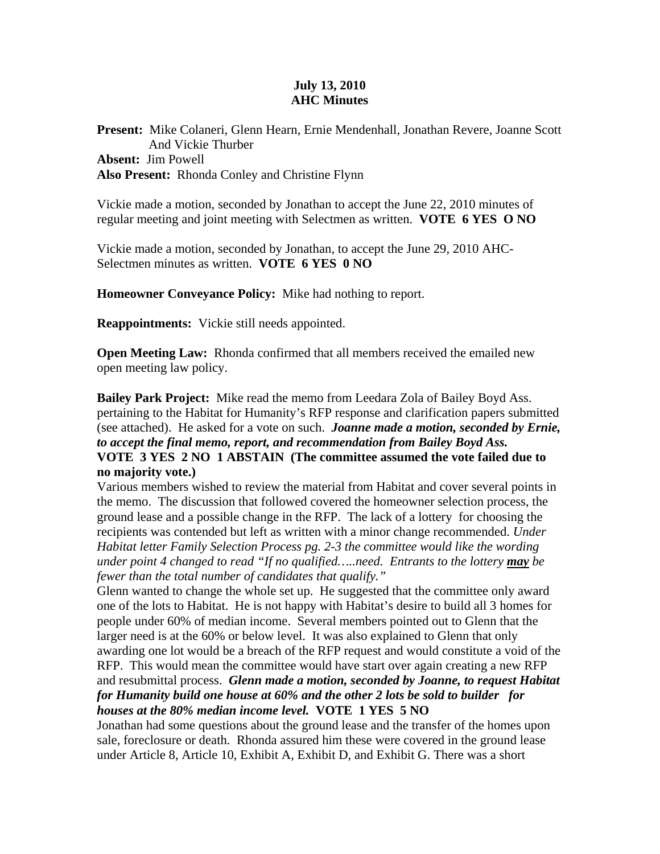## **July 13, 2010 AHC Minutes**

**Present:** Mike Colaneri, Glenn Hearn, Ernie Mendenhall, Jonathan Revere, Joanne Scott And Vickie Thurber **Absent:** Jim Powell **Also Present:** Rhonda Conley and Christine Flynn

Vickie made a motion, seconded by Jonathan to accept the June 22, 2010 minutes of regular meeting and joint meeting with Selectmen as written. **VOTE 6 YES O NO** 

Vickie made a motion, seconded by Jonathan, to accept the June 29, 2010 AHC-Selectmen minutes as written. **VOTE 6 YES 0 NO** 

**Homeowner Conveyance Policy:** Mike had nothing to report.

**Reappointments:** Vickie still needs appointed.

**Open Meeting Law:** Rhonda confirmed that all members received the emailed new open meeting law policy.

**Bailey Park Project:** Mike read the memo from Leedara Zola of Bailey Boyd Ass. pertaining to the Habitat for Humanity's RFP response and clarification papers submitted (see attached). He asked for a vote on such. *Joanne made a motion, seconded by Ernie, to accept the final memo, report, and recommendation from Bailey Boyd Ass.*  **VOTE 3 YES 2 NO 1 ABSTAIN (The committee assumed the vote failed due to no majority vote.)** 

Various members wished to review the material from Habitat and cover several points in the memo. The discussion that followed covered the homeowner selection process, the ground lease and a possible change in the RFP. The lack of a lottery for choosing the recipients was contended but left as written with a minor change recommended. *Under Habitat letter Family Selection Process pg. 2-3 the committee would like the wording under point 4 changed to read "If no qualified…..need. Entrants to the lottery may be fewer than the total number of candidates that qualify."* 

Glenn wanted to change the whole set up. He suggested that the committee only award one of the lots to Habitat. He is not happy with Habitat's desire to build all 3 homes for people under 60% of median income. Several members pointed out to Glenn that the larger need is at the 60% or below level. It was also explained to Glenn that only awarding one lot would be a breach of the RFP request and would constitute a void of the RFP. This would mean the committee would have start over again creating a new RFP and resubmittal process. *Glenn made a motion, seconded by Joanne, to request Habitat for Humanity build one house at 60% and the other 2 lots be sold to builder for houses at the 80% median income level.* **VOTE 1 YES 5 NO** 

Jonathan had some questions about the ground lease and the transfer of the homes upon sale, foreclosure or death. Rhonda assured him these were covered in the ground lease under Article 8, Article 10, Exhibit A, Exhibit D, and Exhibit G. There was a short